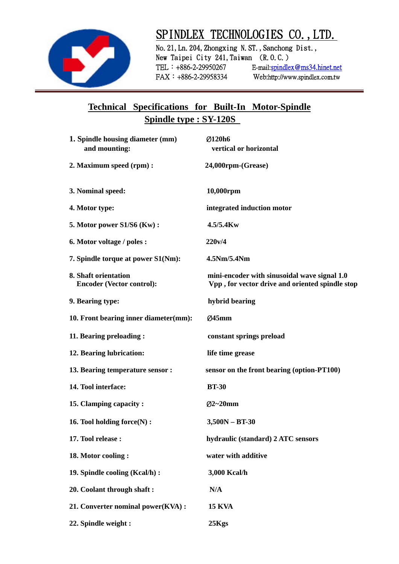

# SPINDLEX TECHNOLOGIES CO., LTD.<br>No. 21, Ln. 204, Zhongxing N.ST., Sanchong Dist.,

New Taipei City 241, Taiwan  $(R, 0, C.)$ TEL:+886-2-29950267 E-mail:spindlex@ms34.hinet.net FAX:+886-2-29958334 Web:http://www.spindlex.com.tw

### **Technical Specifications for Built-In Motor-Spindle Spindle type : SY-120S**

| 1. Spindle housing diameter (mm)<br>and mounting:        | Ø120h6<br>vertical or horizontal                                                                |
|----------------------------------------------------------|-------------------------------------------------------------------------------------------------|
| 2. Maximum speed (rpm):                                  | 24,000rpm-(Grease)                                                                              |
| 3. Nominal speed:                                        | 10,000rpm                                                                                       |
| 4. Motor type:                                           | integrated induction motor                                                                      |
| 5. Motor power S1/S6 (Kw):                               | $4.5/5.4$ Kw                                                                                    |
| 6. Motor voltage / poles :                               | 220v/4                                                                                          |
| 7. Spindle torque at power S1(Nm):                       | 4.5Nm/5.4Nm                                                                                     |
| 8. Shaft orientation<br><b>Encoder (Vector control):</b> | mini-encoder with sinusoidal wave signal 1.0<br>Vpp, for vector drive and oriented spindle stop |
| 9. Bearing type:                                         | hybrid bearing                                                                                  |
| 10. Front bearing inner diameter(mm):                    | Ø45mm                                                                                           |
| 11. Bearing preloading:                                  | constant springs preload                                                                        |
| 12. Bearing lubrication:                                 | life time grease                                                                                |
| 13. Bearing temperature sensor :                         | sensor on the front bearing (option-PT100)                                                      |
| 14. Tool interface:                                      | <b>BT-30</b>                                                                                    |
| 15. Clamping capacity:                                   | $Q2 - 20$ mm                                                                                    |
| 16. Tool holding force(N):                               | $3,500N - BT-30$                                                                                |
| 17. Tool release:                                        | hydraulic (standard) 2 ATC sensors                                                              |
| 18. Motor cooling:                                       | water with additive                                                                             |
| 19. Spindle cooling (Kcal/h) :                           | 3,000 Kcal/h                                                                                    |
| 20. Coolant through shaft:                               | N/A                                                                                             |
| 21. Converter nominal power(KVA):                        | <b>15 KVA</b>                                                                                   |
| 22. Spindle weight :                                     | 25Kgs                                                                                           |